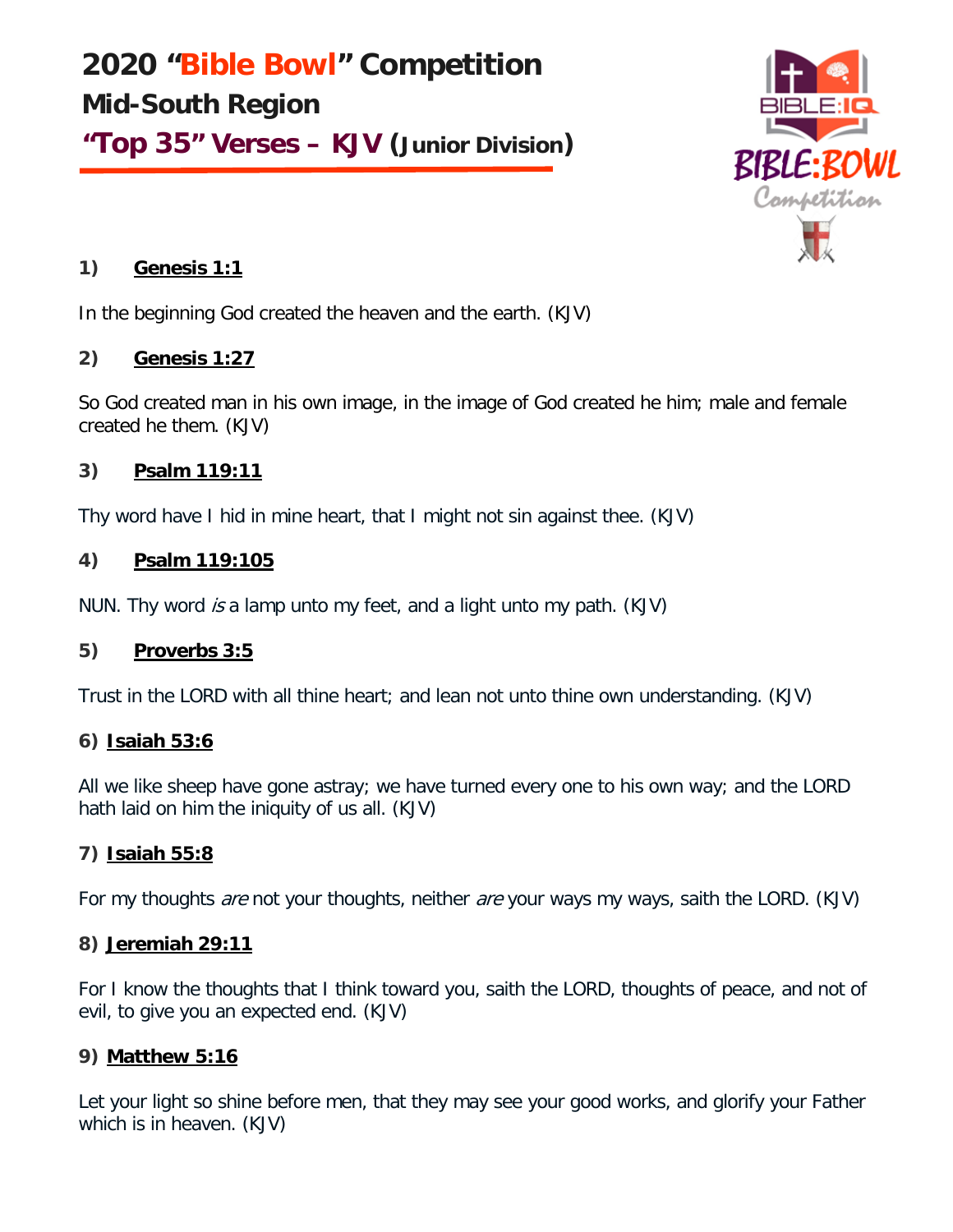**2020 "Bible Bowl" Competition Mid-South Region "Top 35" Verses – KJV (Junior Division)**



# **1) Genesis 1:1**

In the beginning God created the heaven and the earth. (KJV)

# **2) Genesis 1:27**

So God created man in his own image, in the image of God created he him; male and female created he them. (KJV)

# **3) Psalm 119:11**

Thy word have I hid in mine heart, that I might not sin against thee. (KJV)

# **4) Psalm 119:105**

NUN. Thy word is a lamp unto my feet, and a light unto my path. (KJV)

# **5) Proverbs 3:5**

Trust in the LORD with all thine heart; and lean not unto thine own understanding. (KJV)

# **6) Isaiah 53:6**

All we like sheep have gone astray; we have turned every one to his own way; and the LORD hath laid on him the iniquity of us all. (KJV)

# **7) Isaiah 55:8**

For my thoughts *are* not your thoughts, neither *are* your ways my ways, saith the LORD. (KJV)

## **8) Jeremiah 29:11**

For I know the thoughts that I think toward you, saith the LORD, thoughts of peace, and not of evil, to give you an expected end. (KJV)

# **9) Matthew 5:16**

Let your light so shine before men, that they may see your good works, and glorify your Father which is in heaven. (KJV)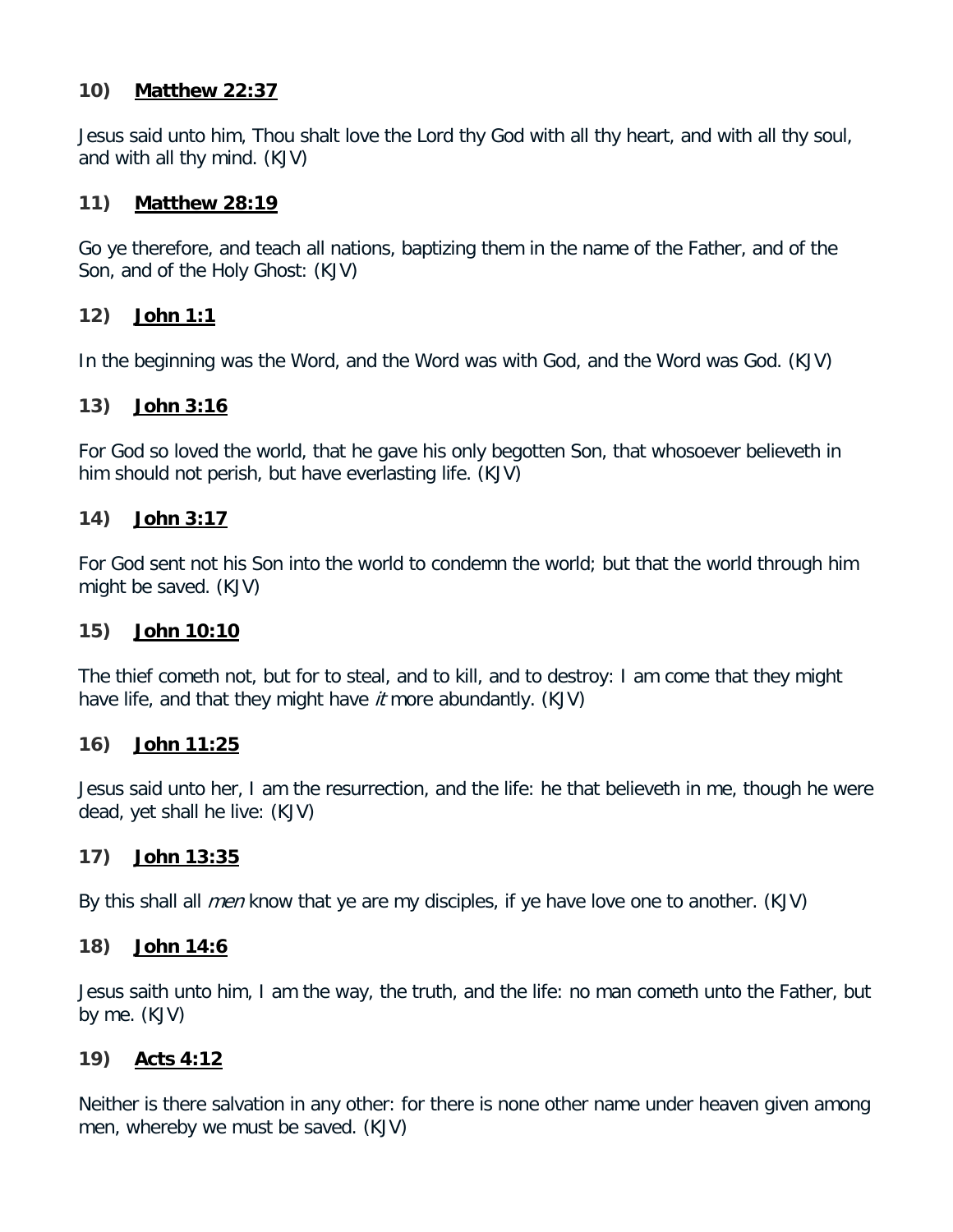### **10) Matthew 22:37**

Jesus said unto him, Thou shalt love the Lord thy God with all thy heart, and with all thy soul, and with all thy mind. (KJV)

## **11) Matthew 28:19**

Go ye therefore, and teach all nations, baptizing them in the name of the Father, and of the Son, and of the Holy Ghost: (KJV)

## **12) John 1:1**

In the beginning was the Word, and the Word was with God, and the Word was God. (KJV)

## **13) John 3:16**

For God so loved the world, that he gave his only begotten Son, that whosoever believeth in him should not perish, but have everlasting life. (KJV)

## **14) John 3:17**

For God sent not his Son into the world to condemn the world; but that the world through him might be saved. (KJV)

### **15) John 10:10**

The thief cometh not, but for to steal, and to kill, and to destroy: I am come that they might have life, and that they might have it more abundantly. (KJV)

### **16) John 11:25**

Jesus said unto her, I am the resurrection, and the life: he that believeth in me, though he were dead, yet shall he live: (KJV)

### **17) John 13:35**

By this shall all *men* know that ye are my disciples, if ye have love one to another. (KJV)

### **18) John 14:6**

Jesus saith unto him, I am the way, the truth, and the life: no man cometh unto the Father, but by me. (KJV)

### **19) Acts 4:12**

Neither is there salvation in any other: for there is none other name under heaven given among men, whereby we must be saved. (KJV)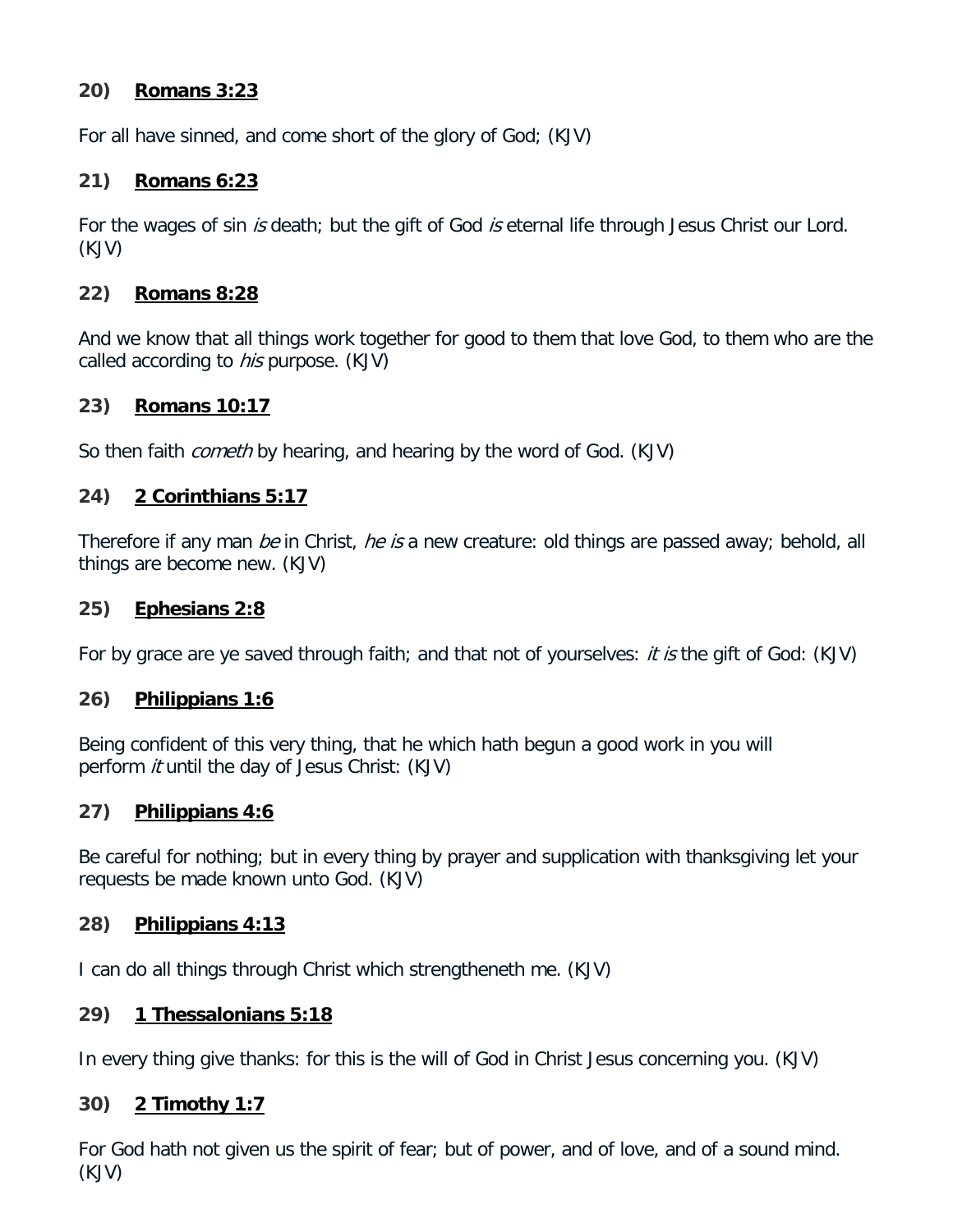## **20) Romans 3:23**

For all have sinned, and come short of the glory of God; (KJV)

## **21) Romans 6:23**

For the wages of sin is death; but the gift of God is eternal life through Jesus Christ our Lord. (KJV)

## **22) Romans 8:28**

And we know that all things work together for good to them that love God, to them who are the called according to *his* purpose. (KJV)

### **23) Romans 10:17**

So then faith *cometh* by hearing, and hearing by the word of God. (KJV)

## **24) 2 Corinthians 5:17**

Therefore if any man *be* in Christ, *he is* a new creature: old things are passed away; behold, all things are become new. (KJV)

### **25) Ephesians 2:8**

For by grace are ye saved through faith; and that not of yourselves: *it is* the gift of God: (KJV)

### **26) Philippians 1:6**

Being confident of this very thing, that he which hath begun a good work in you will perform *it* until the day of Jesus Christ: (KJV)

## **27) Philippians 4:6**

Be careful for nothing; but in every thing by prayer and supplication with thanksgiving let your requests be made known unto God. (KJV)

### **28) Philippians 4:13**

I can do all things through Christ which strengtheneth me. (KJV)

### **29) 1 Thessalonians 5:18**

In every thing give thanks: for this is the will of God in Christ Jesus concerning you. (KJV)

### **30) 2 Timothy 1:7**

For God hath not given us the spirit of fear; but of power, and of love, and of a sound mind. (KJV)